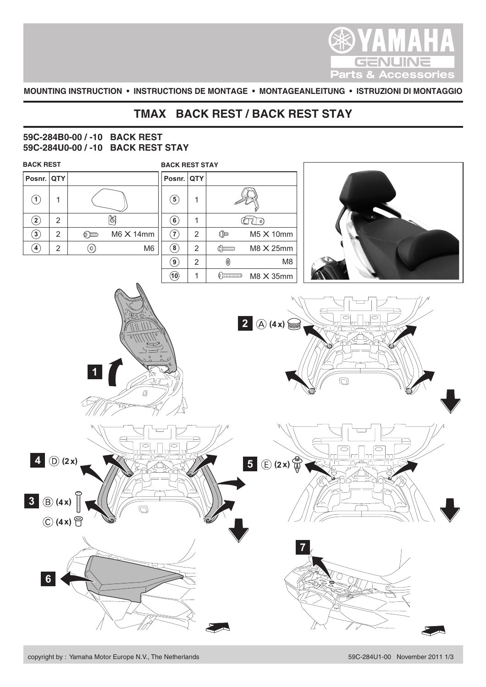

**MOUNTING INSTRUCTION • INSTRUCTIONS DE MONTAGE • MONTAGEANLEITUNG • ISTRUZIONI DI MONTAGGIO**

## **TMAX BACK REST / BACK REST STAY**

## **59C-284B0-00 / -10 BACK REST 59C-284U0-00 / -10 BACK REST STAY**

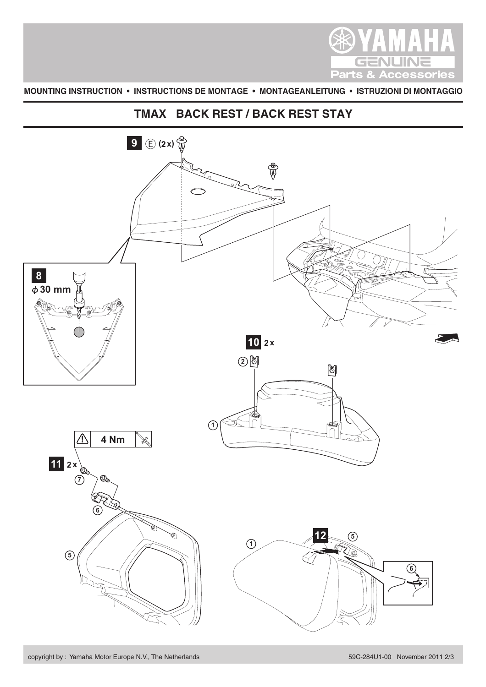

**MOUNTING INSTRUCTION • INSTRUCTIONS DE MONTAGE • MONTAGEANLEITUNG • ISTRUZIONI DI MONTAGGIO**